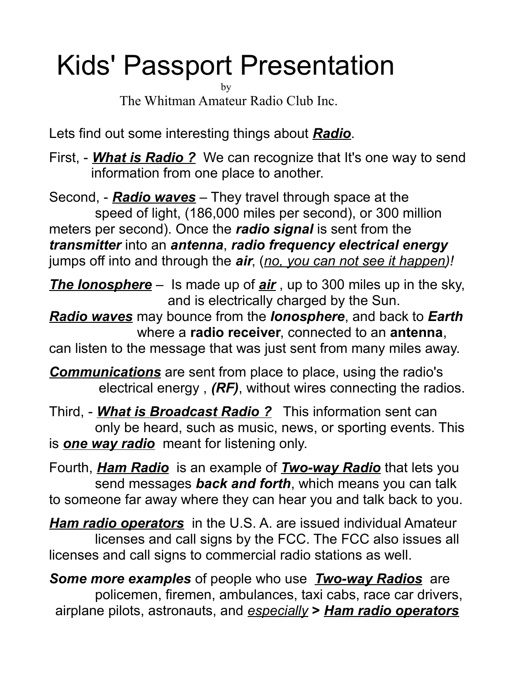# Kids' Passport Presentation

by The Whitman Amateur Radio Club Inc.

Lets find out some interesting things about *Radio*.

First, - *What is Radio ?* We can recognize that It's one way to send information from one place to another.

Second, - *Radio waves* – They travel through space at the speed of light, (186,000 miles per second), or 300 million meters per second). Once the *radio signal* is sent from the *transmitter* into an *antenna*, *radio frequency electrical energy* jumps off into and through the *air*, (*no, you can not see it happen)!*

*The Ionosphere* – Is made up of *air* , up to 300 miles up in the sky, and is electrically charged by the Sun.

*Radio waves* may bounce from the *Ionosphere*, and back to *Earth* where a **radio receiver**, connected to an **antenna**,

can listen to the message that was just sent from many miles away.

*Communications* are sent from place to place, using the radio's electrical energy , *(RF)*, without wires connecting the radios.

Third, - *What is Broadcast Radio ?* This information sent can only be heard, such as music, news, or sporting events. This is *one way radio* meant for listening only.

Fourth, *Ham Radio* is an example of *Two-way Radio* that lets you send messages *back and forth*, which means you can talk to someone far away where they can hear you and talk back to you.

*Ham radio operators* in the U.S. A. are issued individual Amateur licenses and call signs by the FCC. The FCC also issues all licenses and call signs to commercial radio stations as well.

*Some more examples* of people who use *Two-way Radios* are policemen, firemen, ambulances, taxi cabs, race car drivers, airplane pilots, astronauts, and *especially* **>** *Ham radio operators*